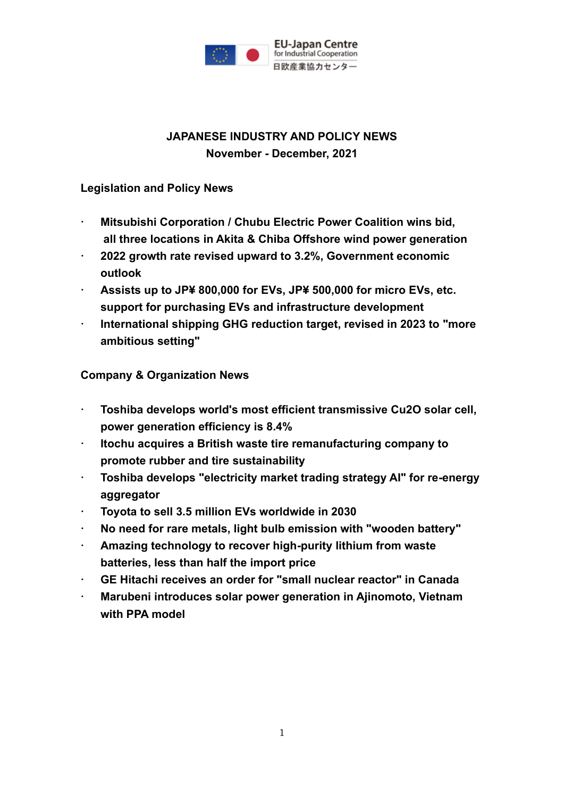

## **JAPANESE INDUSTRY AND POLICY NEWS November - December, 2021**

### **Legislation and Policy News**

- **Mitsubishi Corporation / Chubu Electric Power Coalition wins bid, all three locations in Akita & Chiba Offshore wind power generation**
- **2022 growth rate revised upward to 3.2%, Government economic outlook**
- **Assists up to JP¥ 800,000 for EVs, JP¥ 500,000 for micro EVs, etc. support for purchasing EVs and infrastructure development**
- **International shipping GHG reduction target, revised in 2023 to "more ambitious setting"**

### **Company & Organization News**

- **Toshiba develops world's most efficient transmissive Cu2O solar cell, power generation efficiency is 8.4%**
- **Itochu acquires a British waste tire remanufacturing company to promote rubber and tire sustainability**
- **Toshiba develops "electricity market trading strategy AI" for re-energy aggregator**
- **Toyota to sell 3.5 million EVs worldwide in 2030**
- **No need for rare metals, light bulb emission with "wooden battery"**
- **Amazing technology to recover high-purity lithium from waste batteries, less than half the import price**
- **GE Hitachi receives an order for "small nuclear reactor" in Canada**
- **Marubeni introduces solar power generation in Ajinomoto, Vietnam with PPA model**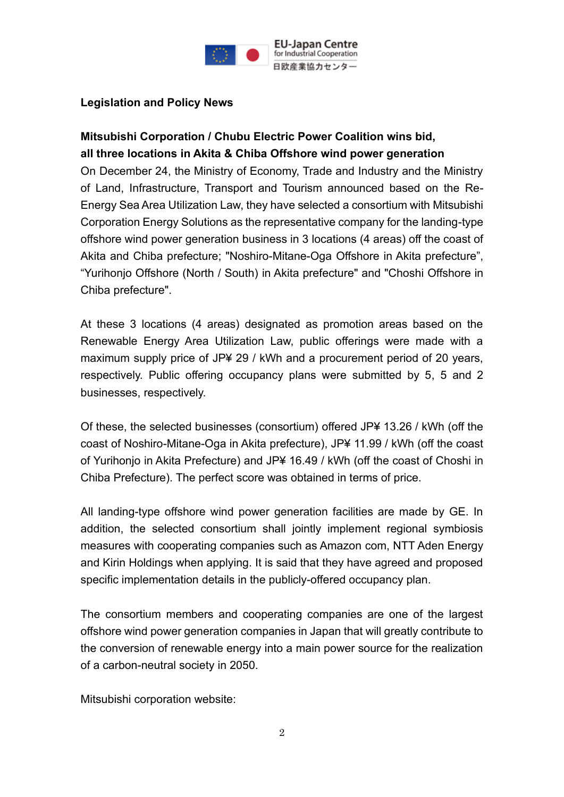

### **Legislation and Policy News**

### **Mitsubishi Corporation / Chubu Electric Power Coalition wins bid, all three locations in Akita & Chiba Offshore wind power generation**

On December 24, the Ministry of Economy, Trade and Industry and the Ministry of Land, Infrastructure, Transport and Tourism announced based on the Re-Energy Sea Area Utilization Law, they have selected a consortium with Mitsubishi Corporation Energy Solutions as the representative company for the landing-type offshore wind power generation business in 3 locations (4 areas) off the coast of Akita and Chiba prefecture; "Noshiro-Mitane-Oga Offshore in Akita prefecture", "Yurihonjo Offshore (North / South) in Akita prefecture" and "Choshi Offshore in Chiba prefecture".

At these 3 locations (4 areas) designated as promotion areas based on the Renewable Energy Area Utilization Law, public offerings were made with a maximum supply price of JP¥ 29 / kWh and a procurement period of 20 years, respectively. Public offering occupancy plans were submitted by 5, 5 and 2 businesses, respectively.

Of these, the selected businesses (consortium) offered JP¥ 13.26 / kWh (off the coast of Noshiro-Mitane-Oga in Akita prefecture), JP¥ 11.99 / kWh (off the coast of Yurihonjo in Akita Prefecture) and JP¥ 16.49 / kWh (off the coast of Choshi in Chiba Prefecture). The perfect score was obtained in terms of price.

All landing-type offshore wind power generation facilities are made by GE. In addition, the selected consortium shall jointly implement regional symbiosis measures with cooperating companies such as Amazon com, NTT Aden Energy and Kirin Holdings when applying. It is said that they have agreed and proposed specific implementation details in the publicly-offered occupancy plan.

The consortium members and cooperating companies are one of the largest offshore wind power generation companies in Japan that will greatly contribute to the conversion of renewable energy into a main power source for the realization of a carbon-neutral society in 2050.

Mitsubishi corporation website: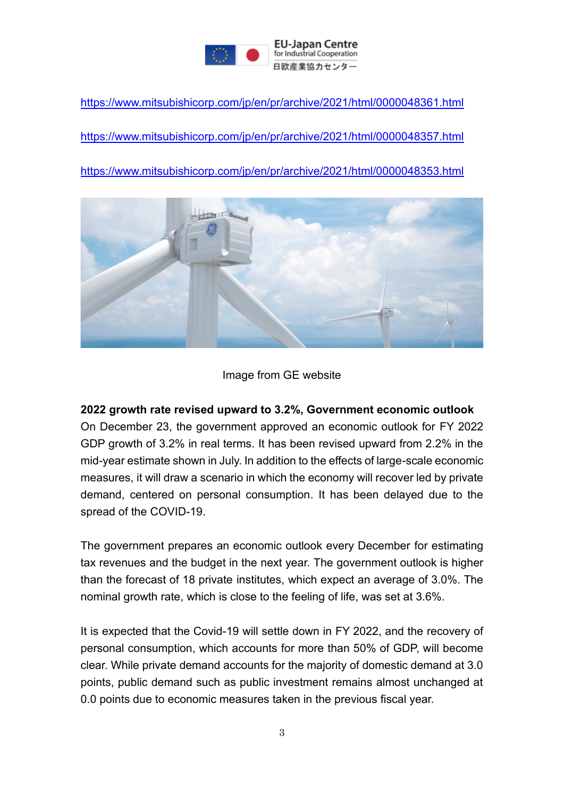

<https://www.mitsubishicorp.com/jp/en/pr/archive/2021/html/0000048361.html>

<https://www.mitsubishicorp.com/jp/en/pr/archive/2021/html/0000048357.html>

<https://www.mitsubishicorp.com/jp/en/pr/archive/2021/html/0000048353.html>



#### Image from GE website

#### **2022 growth rate revised upward to 3.2%, Government economic outlook**

On December 23, the government approved an economic outlook for FY 2022 GDP growth of 3.2% in real terms. It has been revised upward from 2.2% in the mid-year estimate shown in July. In addition to the effects of large-scale economic measures, it will draw a scenario in which the economy will recover led by private demand, centered on personal consumption. It has been delayed due to the spread of the COVID-19.

The government prepares an economic outlook every December for estimating tax revenues and the budget in the next year. The government outlook is higher than the forecast of 18 private institutes, which expect an average of 3.0%. The nominal growth rate, which is close to the feeling of life, was set at 3.6%.

It is expected that the Covid-19 will settle down in FY 2022, and the recovery of personal consumption, which accounts for more than 50% of GDP, will become clear. While private demand accounts for the majority of domestic demand at 3.0 points, public demand such as public investment remains almost unchanged at 0.0 points due to economic measures taken in the previous fiscal year.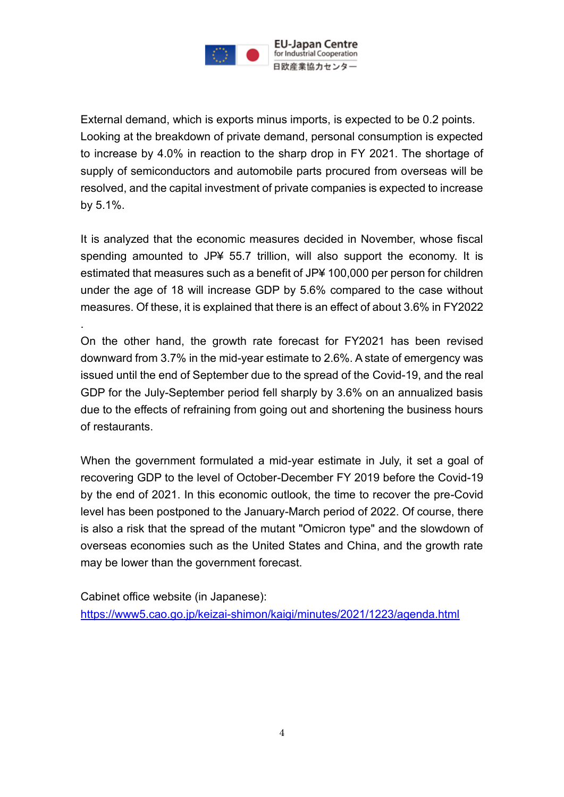

External demand, which is exports minus imports, is expected to be 0.2 points. Looking at the breakdown of private demand, personal consumption is expected to increase by 4.0% in reaction to the sharp drop in FY 2021. The shortage of supply of semiconductors and automobile parts procured from overseas will be resolved, and the capital investment of private companies is expected to increase by 5.1%.

It is analyzed that the economic measures decided in November, whose fiscal spending amounted to JP¥ 55.7 trillion, will also support the economy. It is estimated that measures such as a benefit of JP¥ 100,000 per person for children under the age of 18 will increase GDP by 5.6% compared to the case without measures. Of these, it is explained that there is an effect of about 3.6% in FY2022

.

On the other hand, the growth rate forecast for FY2021 has been revised downward from 3.7% in the mid-year estimate to 2.6%. A state of emergency was issued until the end of September due to the spread of the Covid-19, and the real GDP for the July-September period fell sharply by 3.6% on an annualized basis due to the effects of refraining from going out and shortening the business hours of restaurants.

When the government formulated a mid-year estimate in July, it set a goal of recovering GDP to the level of October-December FY 2019 before the Covid-19 by the end of 2021. In this economic outlook, the time to recover the pre-Covid level has been postponed to the January-March period of 2022. Of course, there is also a risk that the spread of the mutant "Omicron type" and the slowdown of overseas economies such as the United States and China, and the growth rate may be lower than the government forecast.

Cabinet office website (in Japanese): <https://www5.cao.go.jp/keizai-shimon/kaigi/minutes/2021/1223/agenda.html>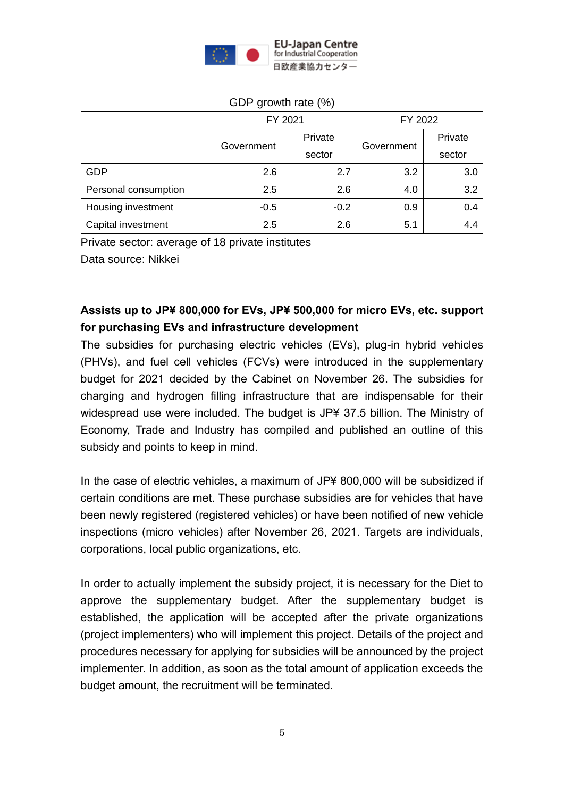

|                      | FY 2021    |         | FY 2022    |         |
|----------------------|------------|---------|------------|---------|
|                      | Government | Private | Government | Private |
|                      |            | sector  |            | sector  |
| <b>GDP</b>           | 2.6        | 2.7     | 3.2        | 3.0     |
| Personal consumption | 2.5        | 2.6     | 4.0        | 3.2     |
| Housing investment   | $-0.5$     | $-0.2$  | 0.9        | 0.4     |
| Capital investment   | 2.5        | 2.6     | 5.1        | 4.4     |

#### GDP growth rate (%)

Private sector: average of 18 private institutes

Data source: Nikkei

# **Assists up to JP¥ 800,000 for EVs, JP¥ 500,000 for micro EVs, etc. support for purchasing EVs and infrastructure development**

The subsidies for purchasing electric vehicles (EVs), plug-in hybrid vehicles (PHVs), and fuel cell vehicles (FCVs) were introduced in the supplementary budget for 2021 decided by the Cabinet on November 26. The subsidies for charging and hydrogen filling infrastructure that are indispensable for their widespread use were included. The budget is JP¥ 37.5 billion. The Ministry of Economy, Trade and Industry has compiled and published an outline of this subsidy and points to keep in mind.

In the case of electric vehicles, a maximum of JP¥ 800,000 will be subsidized if certain conditions are met. These purchase subsidies are for vehicles that have been newly registered (registered vehicles) or have been notified of new vehicle inspections (micro vehicles) after November 26, 2021. Targets are individuals, corporations, local public organizations, etc.

In order to actually implement the subsidy project, it is necessary for the Diet to approve the supplementary budget. After the supplementary budget is established, the application will be accepted after the private organizations (project implementers) who will implement this project. Details of the project and procedures necessary for applying for subsidies will be announced by the project implementer. In addition, as soon as the total amount of application exceeds the budget amount, the recruitment will be terminated.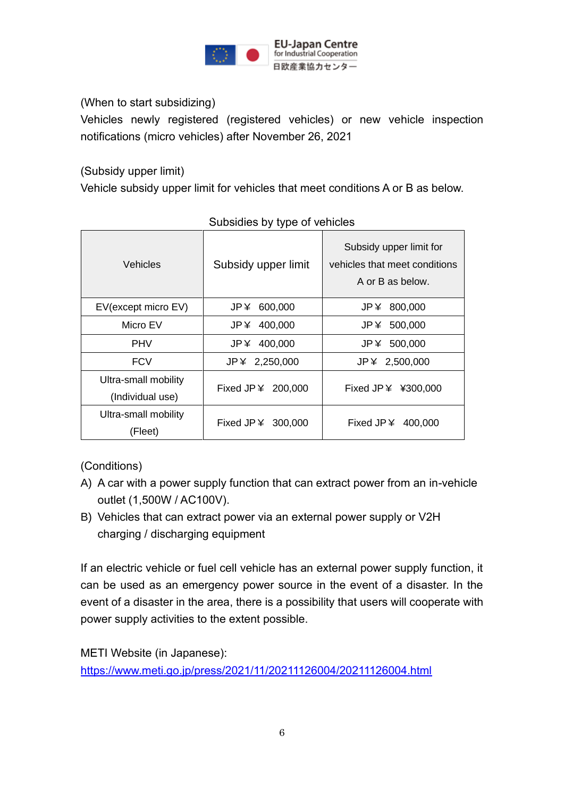

(When to start subsidizing)

Vehicles newly registered (registered vehicles) or new vehicle inspection notifications (micro vehicles) after November 26, 2021

(Subsidy upper limit)

Vehicle subsidy upper limit for vehicles that meet conditions A or B as below.

| Vehicles                                 | Subsidy upper limit | Subsidy upper limit for<br>vehicles that meet conditions<br>A or B as below. |  |  |
|------------------------------------------|---------------------|------------------------------------------------------------------------------|--|--|
| EV(except micro EV)                      | 600,000<br>JP ¥     | JP¥ 800,000                                                                  |  |  |
| Micro EV                                 | JP ¥<br>400,000     | JP¥ 500,000                                                                  |  |  |
| <b>PHV</b>                               | JP¥ 400,000         | JP¥ 500,000                                                                  |  |  |
| <b>FCV</b>                               | $JP$ $4$ 2,250,000  | JP¥ 2,500,000                                                                |  |  |
| Ultra-small mobility<br>(Individual use) | Fixed JP ¥ 200,000  | Fixed JP $\angle$ ¥300,000                                                   |  |  |
| Ultra-small mobility<br>(Fleet)          | Fixed JP ¥ 300,000  | Fixed JP $\angle$ 400,000                                                    |  |  |

#### Subsidies by type of vehicles

(Conditions)

- A) A car with a power supply function that can extract power from an in-vehicle outlet (1,500W / AC100V).
- B) Vehicles that can extract power via an external power supply or V2H charging / discharging equipment

If an electric vehicle or fuel cell vehicle has an external power supply function, it can be used as an emergency power source in the event of a disaster. In the event of a disaster in the area, there is a possibility that users will cooperate with power supply activities to the extent possible.

METI Website (in Japanese): <https://www.meti.go.jp/press/2021/11/20211126004/20211126004.html>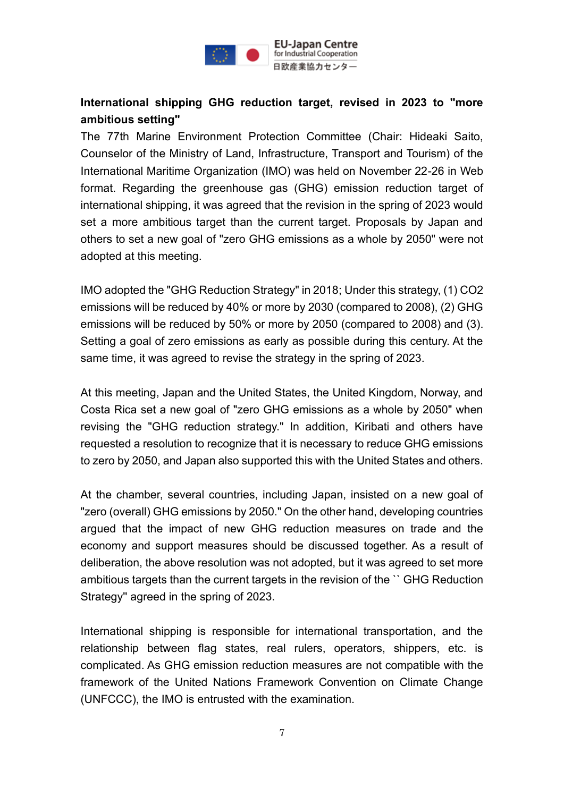

## **International shipping GHG reduction target, revised in 2023 to "more ambitious setting"**

The 77th Marine Environment Protection Committee (Chair: Hideaki Saito, Counselor of the Ministry of Land, Infrastructure, Transport and Tourism) of the International Maritime Organization (IMO) was held on November 22-26 in Web format. Regarding the greenhouse gas (GHG) emission reduction target of international shipping, it was agreed that the revision in the spring of 2023 would set a more ambitious target than the current target. Proposals by Japan and others to set a new goal of "zero GHG emissions as a whole by 2050" were not adopted at this meeting.

IMO adopted the "GHG Reduction Strategy" in 2018; Under this strategy, (1) CO2 emissions will be reduced by 40% or more by 2030 (compared to 2008), (2) GHG emissions will be reduced by 50% or more by 2050 (compared to 2008) and (3). Setting a goal of zero emissions as early as possible during this century. At the same time, it was agreed to revise the strategy in the spring of 2023.

At this meeting, Japan and the United States, the United Kingdom, Norway, and Costa Rica set a new goal of "zero GHG emissions as a whole by 2050" when revising the "GHG reduction strategy." In addition, Kiribati and others have requested a resolution to recognize that it is necessary to reduce GHG emissions to zero by 2050, and Japan also supported this with the United States and others.

At the chamber, several countries, including Japan, insisted on a new goal of "zero (overall) GHG emissions by 2050." On the other hand, developing countries argued that the impact of new GHG reduction measures on trade and the economy and support measures should be discussed together. As a result of deliberation, the above resolution was not adopted, but it was agreed to set more ambitious targets than the current targets in the revision of the `` GHG Reduction Strategy'' agreed in the spring of 2023.

International shipping is responsible for international transportation, and the relationship between flag states, real rulers, operators, shippers, etc. is complicated. As GHG emission reduction measures are not compatible with the framework of the United Nations Framework Convention on Climate Change (UNFCCC), the IMO is entrusted with the examination.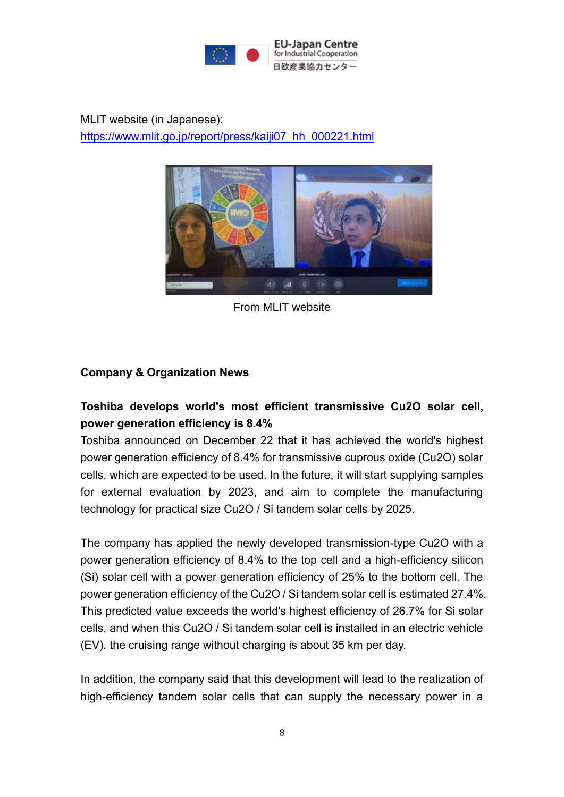

MLIT website (in Japanese): [https://www.mlit.go.jp/report/press/kaiji07\\_hh\\_000221.html](https://www.mlit.go.jp/report/press/kaiji07_hh_000221.html)



From MLIT website

### **Company & Organization News**

## **Toshiba develops world's most efficient transmissive Cu2O solar cell, power generation efficiency is 8.4%**

Toshiba announced on December 22 that it has achieved the world's highest power generation efficiency of 8.4% for transmissive cuprous oxide (Cu2O) solar cells, which are expected to be used. In the future, it will start supplying samples for external evaluation by 2023, and aim to complete the manufacturing technology for practical size Cu2O / Si tandem solar cells by 2025.

The company has applied the newly developed transmission-type Cu2O with a power generation efficiency of 8.4% to the top cell and a high-efficiency silicon (Si) solar cell with a power generation efficiency of 25% to the bottom cell. The power generation efficiency of the Cu2O / Si tandem solar cell is estimated 27.4%. This predicted value exceeds the world's highest efficiency of 26.7% for Si solar cells, and when this Cu2O / Si tandem solar cell is installed in an electric vehicle (EV), the cruising range without charging is about 35 km per day.

In addition, the company said that this development will lead to the realization of high-efficiency tandem solar cells that can supply the necessary power in a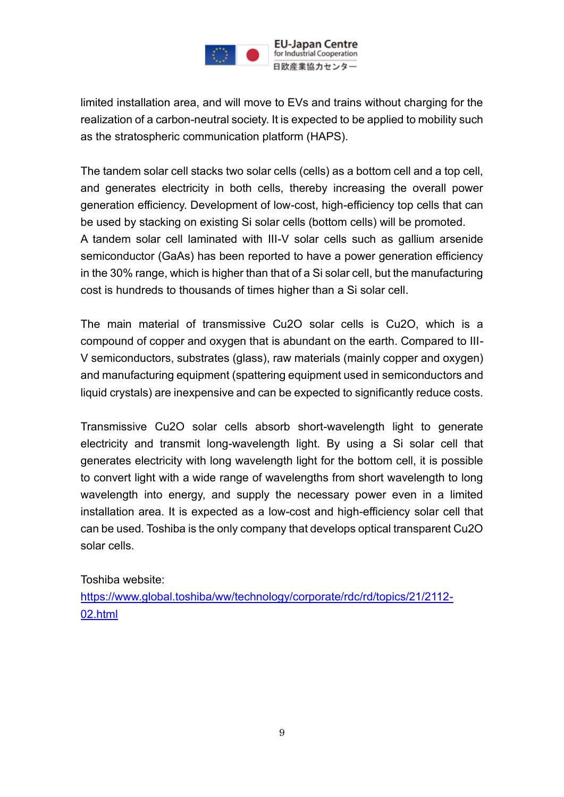

limited installation area, and will move to EVs and trains without charging for the realization of a carbon-neutral society. It is expected to be applied to mobility such as the stratospheric communication platform (HAPS).

The tandem solar cell stacks two solar cells (cells) as a bottom cell and a top cell, and generates electricity in both cells, thereby increasing the overall power generation efficiency. Development of low-cost, high-efficiency top cells that can be used by stacking on existing Si solar cells (bottom cells) will be promoted. A tandem solar cell laminated with III-V solar cells such as gallium arsenide semiconductor (GaAs) has been reported to have a power generation efficiency in the 30% range, which is higher than that of a Si solar cell, but the manufacturing cost is hundreds to thousands of times higher than a Si solar cell.

The main material of transmissive Cu2O solar cells is Cu2O, which is a compound of copper and oxygen that is abundant on the earth. Compared to III-V semiconductors, substrates (glass), raw materials (mainly copper and oxygen) and manufacturing equipment (spattering equipment used in semiconductors and liquid crystals) are inexpensive and can be expected to significantly reduce costs.

Transmissive Cu2O solar cells absorb short-wavelength light to generate electricity and transmit long-wavelength light. By using a Si solar cell that generates electricity with long wavelength light for the bottom cell, it is possible to convert light with a wide range of wavelengths from short wavelength to long wavelength into energy, and supply the necessary power even in a limited installation area. It is expected as a low-cost and high-efficiency solar cell that can be used. Toshiba is the only company that develops optical transparent Cu2O solar cells.

Toshiba website:

[https://www.global.toshiba/ww/technology/corporate/rdc/rd/topics/21/2112-](https://www.global.toshiba/ww/technology/corporate/rdc/rd/topics/21/2112-02.html) [02.html](https://www.global.toshiba/ww/technology/corporate/rdc/rd/topics/21/2112-02.html)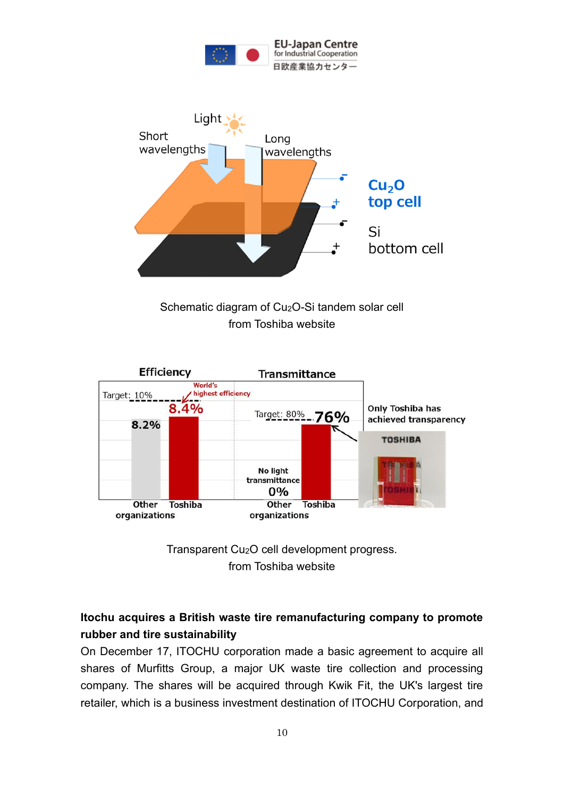



Schematic diagram of Cu<sub>2</sub>O-Si tandem solar cell from Toshiba website





## **Itochu acquires a British waste tire remanufacturing company to promote rubber and tire sustainability**

On December 17, ITOCHU corporation made a basic agreement to acquire all shares of Murfitts Group, a major UK waste tire collection and processing company. The shares will be acquired through Kwik Fit, the UK's largest tire retailer, which is a business investment destination of ITOCHU Corporation, and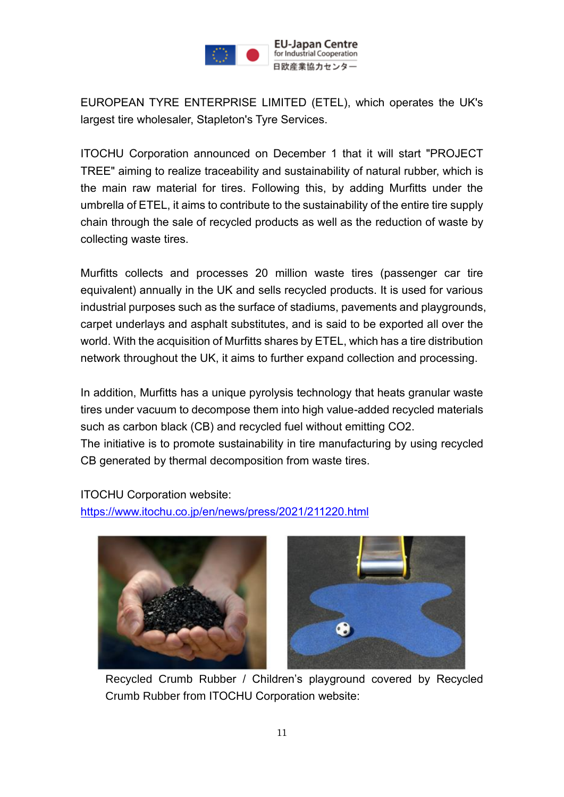

EUROPEAN TYRE ENTERPRISE LIMITED (ETEL), which operates the UK's largest tire wholesaler, Stapleton's Tyre Services.

ITOCHU Corporation announced on December 1 that it will start "PROJECT TREE" aiming to realize traceability and sustainability of natural rubber, which is the main raw material for tires. Following this, by adding Murfitts under the umbrella of ETEL, it aims to contribute to the sustainability of the entire tire supply chain through the sale of recycled products as well as the reduction of waste by collecting waste tires.

Murfitts collects and processes 20 million waste tires (passenger car tire equivalent) annually in the UK and sells recycled products. It is used for various industrial purposes such as the surface of stadiums, pavements and playgrounds, carpet underlays and asphalt substitutes, and is said to be exported all over the world. With the acquisition of Murfitts shares by ETEL, which has a tire distribution network throughout the UK, it aims to further expand collection and processing.

In addition, Murfitts has a unique pyrolysis technology that heats granular waste tires under vacuum to decompose them into high value-added recycled materials such as carbon black (CB) and recycled fuel without emitting CO2.

The initiative is to promote sustainability in tire manufacturing by using recycled CB generated by thermal decomposition from waste tires.

ITOCHU Corporation website:

<https://www.itochu.co.jp/en/news/press/2021/211220.html>



Recycled Crumb Rubber / Children's playground covered by Recycled Crumb Rubber from ITOCHU Corporation website: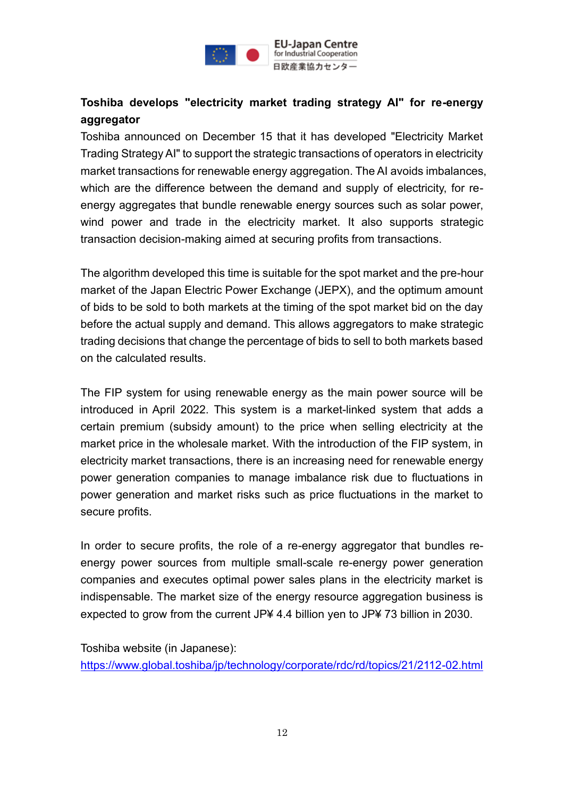

# **Toshiba develops "electricity market trading strategy AI" for re-energy aggregator**

Toshiba announced on December 15 that it has developed "Electricity Market Trading Strategy AI" to support the strategic transactions of operators in electricity market transactions for renewable energy aggregation. The AI avoids imbalances, which are the difference between the demand and supply of electricity, for reenergy aggregates that bundle renewable energy sources such as solar power, wind power and trade in the electricity market. It also supports strategic transaction decision-making aimed at securing profits from transactions.

The algorithm developed this time is suitable for the spot market and the pre-hour market of the Japan Electric Power Exchange (JEPX), and the optimum amount of bids to be sold to both markets at the timing of the spot market bid on the day before the actual supply and demand. This allows aggregators to make strategic trading decisions that change the percentage of bids to sell to both markets based on the calculated results.

The FIP system for using renewable energy as the main power source will be introduced in April 2022. This system is a market-linked system that adds a certain premium (subsidy amount) to the price when selling electricity at the market price in the wholesale market. With the introduction of the FIP system, in electricity market transactions, there is an increasing need for renewable energy power generation companies to manage imbalance risk due to fluctuations in power generation and market risks such as price fluctuations in the market to secure profits.

In order to secure profits, the role of a re-energy aggregator that bundles reenergy power sources from multiple small-scale re-energy power generation companies and executes optimal power sales plans in the electricity market is indispensable. The market size of the energy resource aggregation business is expected to grow from the current JP¥ 4.4 billion yen to JP¥ 73 billion in 2030.

Toshiba website (in Japanese): <https://www.global.toshiba/jp/technology/corporate/rdc/rd/topics/21/2112-02.html>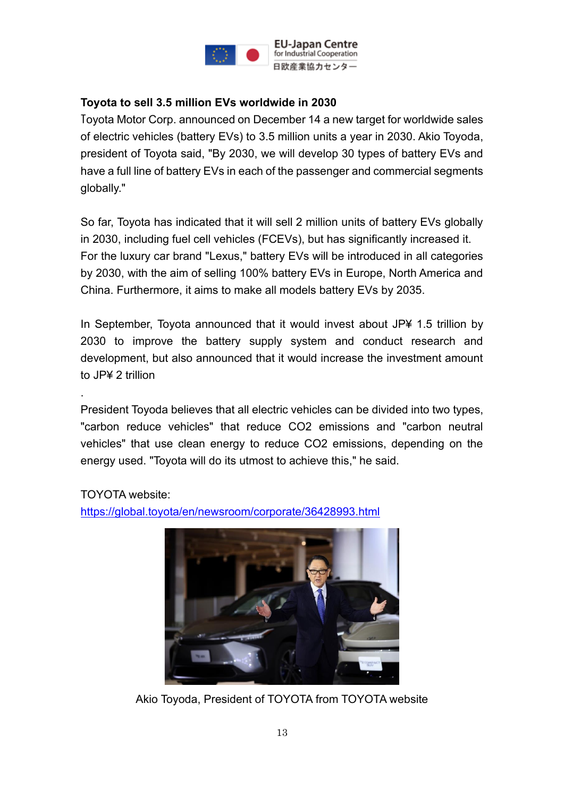

### **Toyota to sell 3.5 million EVs worldwide in 2030**

Toyota Motor Corp. announced on December 14 a new target for worldwide sales of electric vehicles (battery EVs) to 3.5 million units a year in 2030. Akio Toyoda, president of Toyota said, "By 2030, we will develop 30 types of battery EVs and have a full line of battery EVs in each of the passenger and commercial segments globally."

So far, Toyota has indicated that it will sell 2 million units of battery EVs globally in 2030, including fuel cell vehicles (FCEVs), but has significantly increased it. For the luxury car brand "Lexus," battery EVs will be introduced in all categories by 2030, with the aim of selling 100% battery EVs in Europe, North America and China. Furthermore, it aims to make all models battery EVs by 2035.

In September, Toyota announced that it would invest about JP¥ 1.5 trillion by 2030 to improve the battery supply system and conduct research and development, but also announced that it would increase the investment amount to JP¥ 2 trillion

President Toyoda believes that all electric vehicles can be divided into two types, "carbon reduce vehicles" that reduce CO2 emissions and "carbon neutral vehicles" that use clean energy to reduce CO2 emissions, depending on the energy used. "Toyota will do its utmost to achieve this," he said.

#### TOYOTA website:

.

<https://global.toyota/en/newsroom/corporate/36428993.html>



Akio Toyoda, President of TOYOTA from TOYOTA website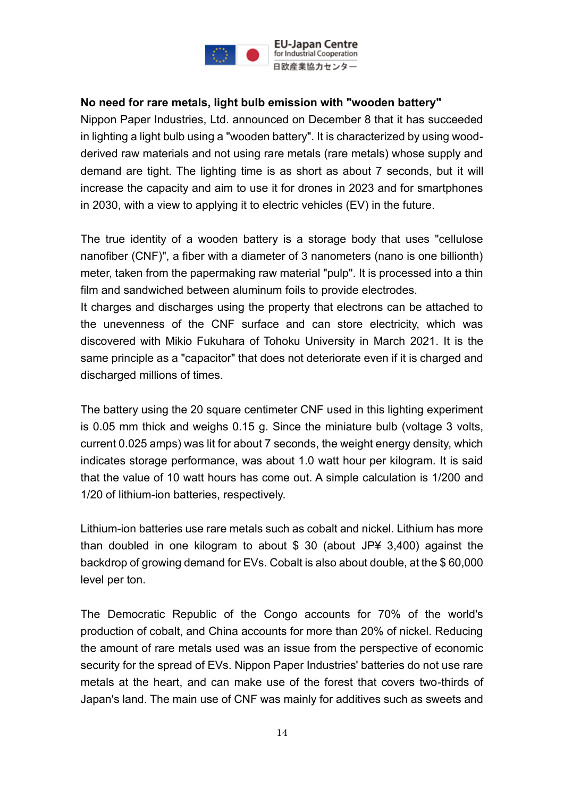

### **No need for rare metals, light bulb emission with "wooden battery"**

Nippon Paper Industries, Ltd. announced on December 8 that it has succeeded in lighting a light bulb using a "wooden battery". It is characterized by using woodderived raw materials and not using rare metals (rare metals) whose supply and demand are tight. The lighting time is as short as about 7 seconds, but it will increase the capacity and aim to use it for drones in 2023 and for smartphones in 2030, with a view to applying it to electric vehicles (EV) in the future.

The true identity of a wooden battery is a storage body that uses "cellulose nanofiber (CNF)", a fiber with a diameter of 3 nanometers (nano is one billionth) meter, taken from the papermaking raw material "pulp". It is processed into a thin film and sandwiched between aluminum foils to provide electrodes.

It charges and discharges using the property that electrons can be attached to the unevenness of the CNF surface and can store electricity, which was discovered with Mikio Fukuhara of Tohoku University in March 2021. It is the same principle as a "capacitor" that does not deteriorate even if it is charged and discharged millions of times.

The battery using the 20 square centimeter CNF used in this lighting experiment is 0.05 mm thick and weighs 0.15 g. Since the miniature bulb (voltage 3 volts, current 0.025 amps) was lit for about 7 seconds, the weight energy density, which indicates storage performance, was about 1.0 watt hour per kilogram. It is said that the value of 10 watt hours has come out. A simple calculation is 1/200 and 1/20 of lithium-ion batteries, respectively.

Lithium-ion batteries use rare metals such as cobalt and nickel. Lithium has more than doubled in one kilogram to about  $$30$  (about JP¥ 3,400) against the backdrop of growing demand for EVs. Cobalt is also about double, at the \$ 60,000 level per ton.

The Democratic Republic of the Congo accounts for 70% of the world's production of cobalt, and China accounts for more than 20% of nickel. Reducing the amount of rare metals used was an issue from the perspective of economic security for the spread of EVs. Nippon Paper Industries' batteries do not use rare metals at the heart, and can make use of the forest that covers two-thirds of Japan's land. The main use of CNF was mainly for additives such as sweets and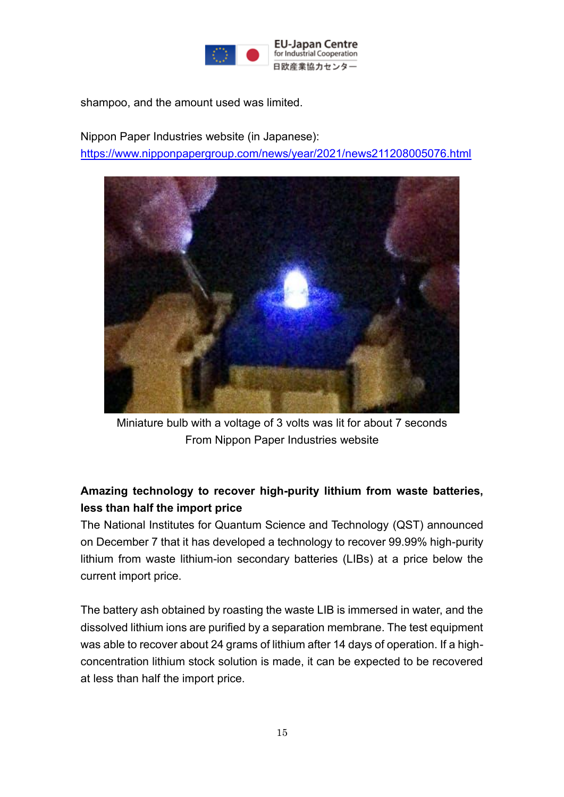

shampoo, and the amount used was limited.

Nippon Paper Industries website (in Japanese): <https://www.nipponpapergroup.com/news/year/2021/news211208005076.html>



Miniature bulb with a voltage of 3 volts was lit for about 7 seconds From Nippon Paper Industries website

# **Amazing technology to recover high-purity lithium from waste batteries, less than half the import price**

The National Institutes for Quantum Science and Technology (QST) announced on December 7 that it has developed a technology to recover 99.99% high-purity lithium from waste lithium-ion secondary batteries (LIBs) at a price below the current import price.

The battery ash obtained by roasting the waste LIB is immersed in water, and the dissolved lithium ions are purified by a separation membrane. The test equipment was able to recover about 24 grams of lithium after 14 days of operation. If a highconcentration lithium stock solution is made, it can be expected to be recovered at less than half the import price.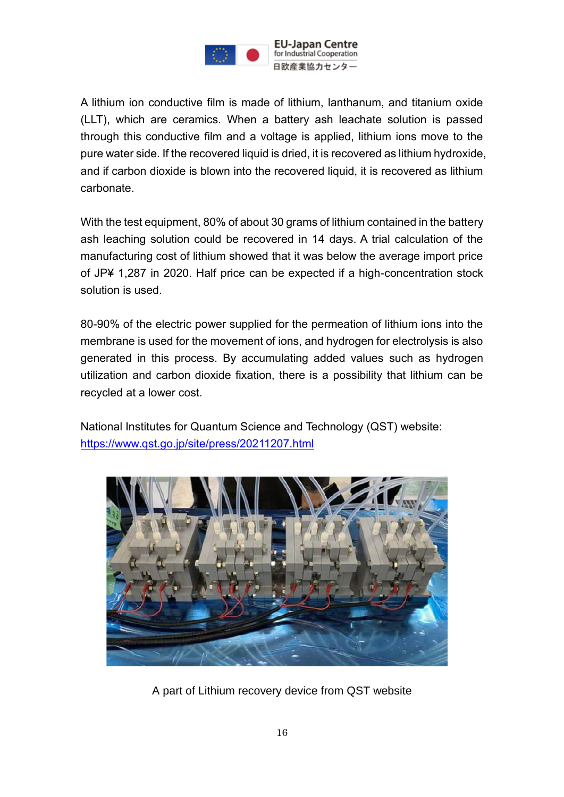

A lithium ion conductive film is made of lithium, lanthanum, and titanium oxide (LLT), which are ceramics. When a battery ash leachate solution is passed through this conductive film and a voltage is applied, lithium ions move to the pure water side. If the recovered liquid is dried, it is recovered as lithium hydroxide, and if carbon dioxide is blown into the recovered liquid, it is recovered as lithium carbonate.

With the test equipment, 80% of about 30 grams of lithium contained in the battery ash leaching solution could be recovered in 14 days. A trial calculation of the manufacturing cost of lithium showed that it was below the average import price of JP¥ 1,287 in 2020. Half price can be expected if a high-concentration stock solution is used.

80-90% of the electric power supplied for the permeation of lithium ions into the membrane is used for the movement of ions, and hydrogen for electrolysis is also generated in this process. By accumulating added values such as hydrogen utilization and carbon dioxide fixation, there is a possibility that lithium can be recycled at a lower cost.

National Institutes for Quantum Science and Technology (QST) website: <https://www.qst.go.jp/site/press/20211207.html>



A part of Lithium recovery device from QST website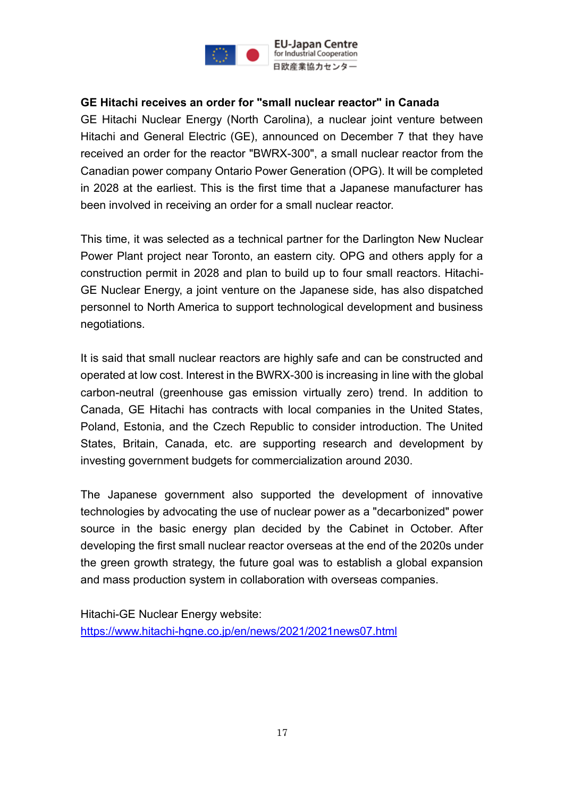

#### **GE Hitachi receives an order for "small nuclear reactor" in Canada**

GE Hitachi Nuclear Energy (North Carolina), a nuclear joint venture between Hitachi and General Electric (GE), announced on December 7 that they have received an order for the reactor "BWRX-300", a small nuclear reactor from the Canadian power company Ontario Power Generation (OPG). It will be completed in 2028 at the earliest. This is the first time that a Japanese manufacturer has been involved in receiving an order for a small nuclear reactor.

This time, it was selected as a technical partner for the Darlington New Nuclear Power Plant project near Toronto, an eastern city. OPG and others apply for a construction permit in 2028 and plan to build up to four small reactors. Hitachi-GE Nuclear Energy, a joint venture on the Japanese side, has also dispatched personnel to North America to support technological development and business negotiations.

It is said that small nuclear reactors are highly safe and can be constructed and operated at low cost. Interest in the BWRX-300 is increasing in line with the global carbon-neutral (greenhouse gas emission virtually zero) trend. In addition to Canada, GE Hitachi has contracts with local companies in the United States, Poland, Estonia, and the Czech Republic to consider introduction. The United States, Britain, Canada, etc. are supporting research and development by investing government budgets for commercialization around 2030.

The Japanese government also supported the development of innovative technologies by advocating the use of nuclear power as a "decarbonized" power source in the basic energy plan decided by the Cabinet in October. After developing the first small nuclear reactor overseas at the end of the 2020s under the green growth strategy, the future goal was to establish a global expansion and mass production system in collaboration with overseas companies.

Hitachi-GE Nuclear Energy website: <https://www.hitachi-hgne.co.jp/en/news/2021/2021news07.html>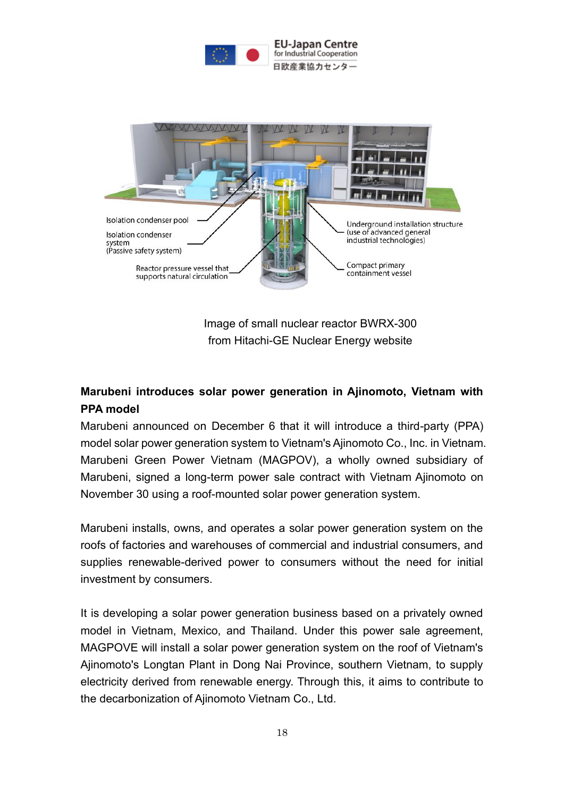



Image of small nuclear reactor BWRX-300 from Hitachi-GE Nuclear Energy website

# **Marubeni introduces solar power generation in Ajinomoto, Vietnam with PPA model**

Marubeni announced on December 6 that it will introduce a third-party (PPA) model solar power generation system to Vietnam's Ajinomoto Co., Inc. in Vietnam. Marubeni Green Power Vietnam (MAGPOV), a wholly owned subsidiary of Marubeni, signed a long-term power sale contract with Vietnam Ajinomoto on November 30 using a roof-mounted solar power generation system.

Marubeni installs, owns, and operates a solar power generation system on the roofs of factories and warehouses of commercial and industrial consumers, and supplies renewable-derived power to consumers without the need for initial investment by consumers.

It is developing a solar power generation business based on a privately owned model in Vietnam, Mexico, and Thailand. Under this power sale agreement, MAGPOVE will install a solar power generation system on the roof of Vietnam's Ajinomoto's Longtan Plant in Dong Nai Province, southern Vietnam, to supply electricity derived from renewable energy. Through this, it aims to contribute to the decarbonization of Ajinomoto Vietnam Co., Ltd.